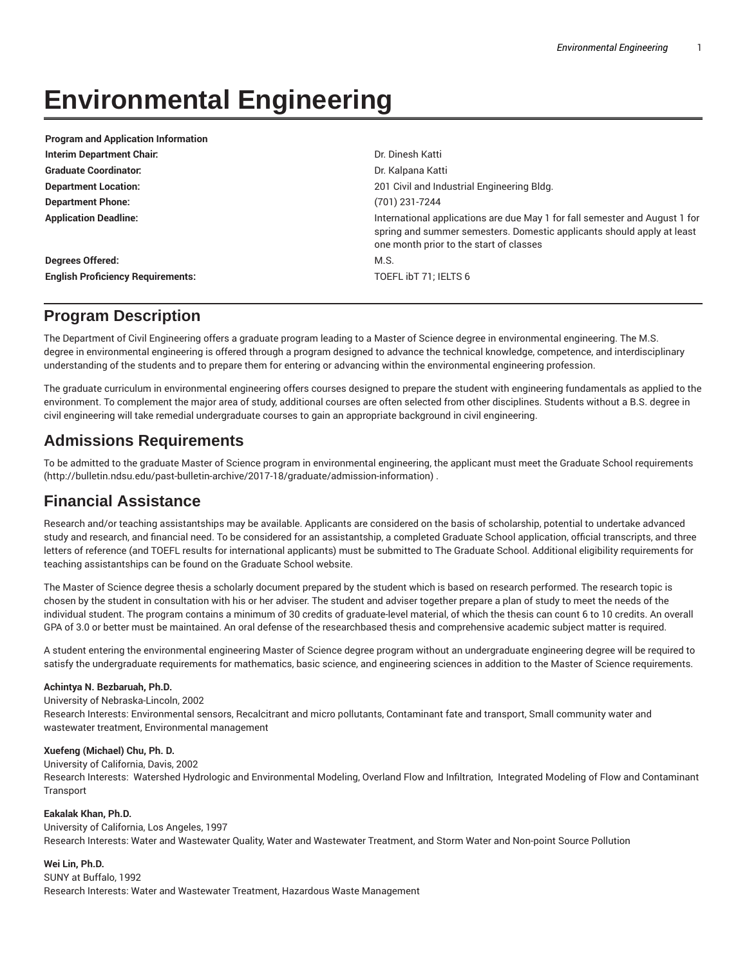# **Environmental Engineering**

| <b>Program and Application Information</b> |                                                                                                                                                                                                  |
|--------------------------------------------|--------------------------------------------------------------------------------------------------------------------------------------------------------------------------------------------------|
| Interim Department Chair:                  | Dr. Dinesh Katti                                                                                                                                                                                 |
| <b>Graduate Coordinator:</b>               | Dr. Kalpana Katti                                                                                                                                                                                |
| <b>Department Location:</b>                | 201 Civil and Industrial Engineering Bldg.                                                                                                                                                       |
| <b>Department Phone:</b>                   | (701) 231-7244                                                                                                                                                                                   |
| <b>Application Deadline:</b>               | International applications are due May 1 for fall semester and August 1 for<br>spring and summer semesters. Domestic applicants should apply at least<br>one month prior to the start of classes |
| <b>Degrees Offered:</b>                    | M.S.                                                                                                                                                                                             |
| <b>English Proficiency Requirements:</b>   | TOEFL ibT 71; IELTS 6                                                                                                                                                                            |

## **Program Description**

The Department of Civil Engineering offers a graduate program leading to a Master of Science degree in environmental engineering. The M.S. degree in environmental engineering is offered through a program designed to advance the technical knowledge, competence, and interdisciplinary understanding of the students and to prepare them for entering or advancing within the environmental engineering profession.

The graduate curriculum in environmental engineering offers courses designed to prepare the student with engineering fundamentals as applied to the environment. To complement the major area of study, additional courses are often selected from other disciplines. Students without a B.S. degree in civil engineering will take remedial undergraduate courses to gain an appropriate background in civil engineering.

## **Admissions Requirements**

To be admitted to the graduate Master of Science program in environmental engineering, the applicant must meet the Graduate School requirements (http://bulletin.ndsu.edu/past-bulletin-archive/2017-18/graduate/admission-information) .

## **Financial Assistance**

Research and/or teaching assistantships may be available. Applicants are considered on the basis of scholarship, potential to undertake advanced study and research, and financial need. To be considered for an assistantship, a completed Graduate School application, official transcripts, and three letters of reference (and TOEFL results for international applicants) must be submitted to The Graduate School. Additional eligibility requirements for teaching assistantships can be found on the Graduate School website.

The Master of Science degree thesis a scholarly document prepared by the student which is based on research performed. The research topic is chosen by the student in consultation with his or her adviser. The student and adviser together prepare a plan of study to meet the needs of the individual student. The program contains a minimum of 30 credits of graduate-level material, of which the thesis can count 6 to 10 credits. An overall GPA of 3.0 or better must be maintained. An oral defense of the researchbased thesis and comprehensive academic subject matter is required.

A student entering the environmental engineering Master of Science degree program without an undergraduate engineering degree will be required to satisfy the undergraduate requirements for mathematics, basic science, and engineering sciences in addition to the Master of Science requirements.

#### **Achintya N. Bezbaruah, Ph.D.**

University of Nebraska-Lincoln, 2002 Research Interests: Environmental sensors, Recalcitrant and micro pollutants, Contaminant fate and transport, Small community water and wastewater treatment, Environmental management

#### **Xuefeng (Michael) Chu, Ph. D.**

University of California, Davis, 2002 Research Interests: Watershed Hydrologic and Environmental Modeling, Overland Flow and Infiltration, Integrated Modeling of Flow and Contaminant Transport

#### **Eakalak Khan, Ph.D.**

University of California, Los Angeles, 1997 Research Interests: Water and Wastewater Quality, Water and Wastewater Treatment, and Storm Water and Non-point Source Pollution

#### **Wei Lin, Ph.D.**

SUNY at Buffalo, 1992 Research Interests: Water and Wastewater Treatment, Hazardous Waste Management